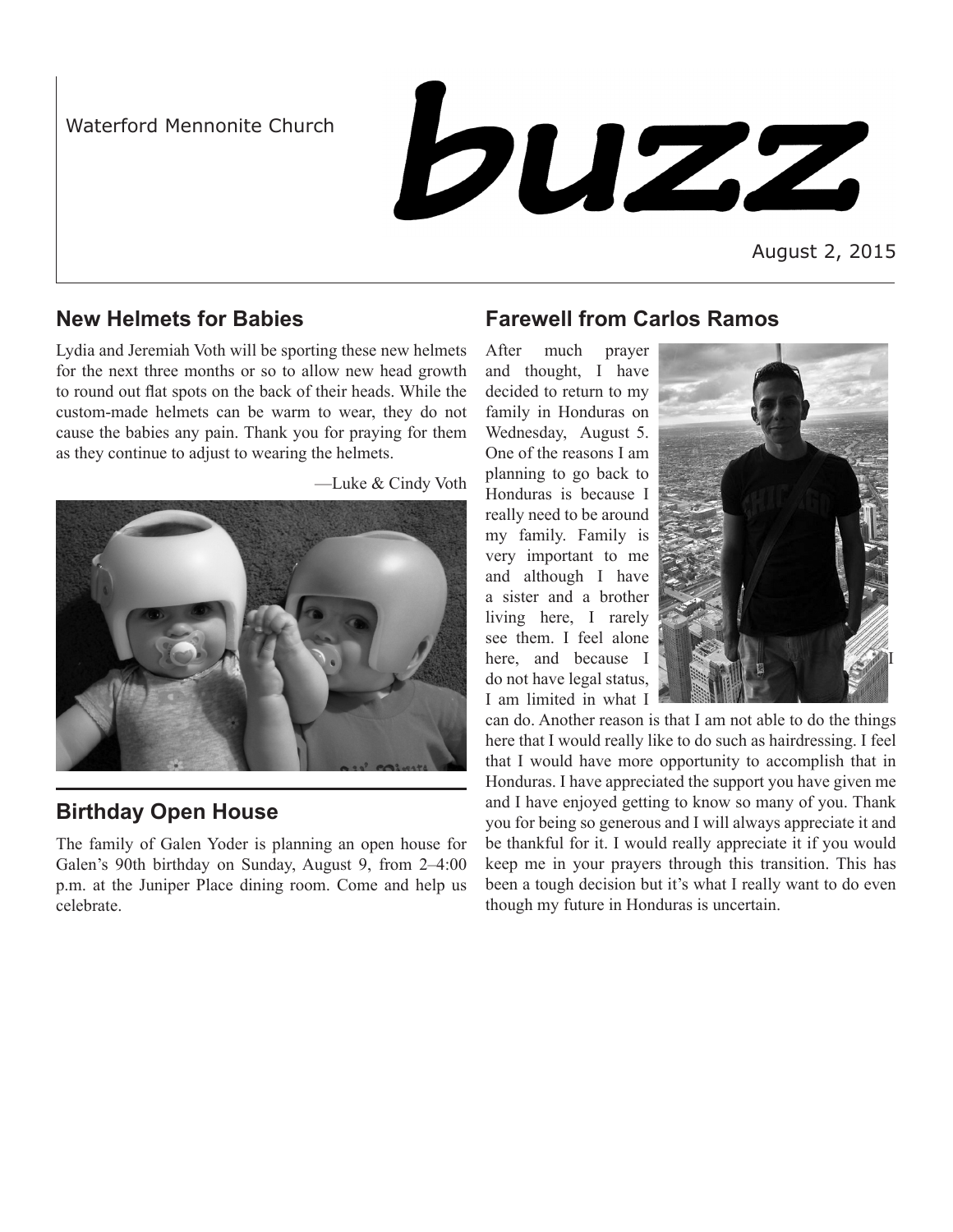Waterford Mennonite Church

**buzz** 

August 2, 2015

### **New Helmets for Babies**

Lydia and Jeremiah Voth will be sporting these new helmets for the next three months or so to allow new head growth to round out flat spots on the back of their heads. While the custom-made helmets can be warm to wear, they do not cause the babies any pain. Thank you for praying for them as they continue to adjust to wearing the helmets.



**Birthday Open House**

The family of Galen Yoder is planning an open house for Galen's 90th birthday on Sunday, August 9, from 2–4:00 p.m. at the Juniper Place dining room. Come and help us celebrate.

## **Farewell from Carlos Ramos**

After much prayer and thought, I have decided to return to my family in Honduras on Wednesday, August 5. One of the reasons I am planning to go back to Honduras is because I really need to be around my family. Family is very important to me and although I have a sister and a brother living here, I rarely see them. I feel alone here, and because I do not have legal status, I am limited in what I



can do. Another reason is that I am not able to do the things here that I would really like to do such as hairdressing. I feel that I would have more opportunity to accomplish that in Honduras. I have appreciated the support you have given me and I have enjoyed getting to know so many of you. Thank you for being so generous and I will always appreciate it and be thankful for it. I would really appreciate it if you would keep me in your prayers through this transition. This has been a tough decision but it's what I really want to do even though my future in Honduras is uncertain.